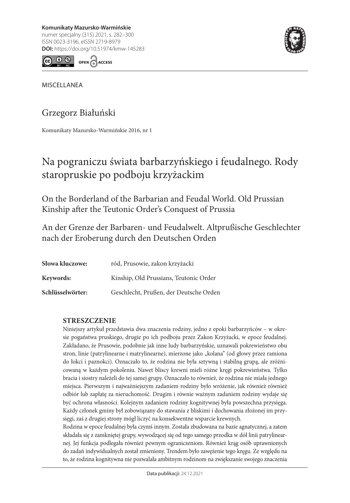282 Graduate Białuński († 1920)<br>**DOI:** https://doi.org/10.51974/kmw-145283 **Komunikaty Mazursko-Warmińskie** numer specjalny (315) 2021, s. 282–300 ISSN 0023-3196, eISSN 2719-8979





MISCELLANEA

# Grzegorz Białuński

Komunikaty Mazursko-Warmińskie 2016, nr 1

# Na pograniczu świata barbarzyńskiego i feudalnego. Rody staropruskie po podboju krzyżackim

On the Borderland of the Barbarian and Feudal World. Old Prussian Kinship after the Teutonic Order's Conquest of Prussia

An der Grenze der Barbaren- und Feudalwelt. Altprußische Geschlechter nach der Eroberung durch den Deutschen Orden

| Słowa kluczowe:  | ród, Prusowie, zakon krzyżacki         |
|------------------|----------------------------------------|
| Keywords:        | Kinship, Old Prussians, Teutonic Order |
| Schlüsselwörter: | Geschlecht, Prußen, der Deutsche Orden |

### **STRESZCZENIE**

Niniejszy artykuł przedstawia dwa znaczenia rodziny, jedno z epoki barbarzyńców – w okresie pogaństwa pruskiego, drugie po ich podboju przez Zakon Krzyżacki, w epoce feudalnej. Zakładano, że Prusowie, podobnie jak inne ludy barbarzyńskie, uznawali pokrewieństwo obu stron, linie (patrylinearne i matrylinearne), mierzone jako "kolana" (od głowy przez ramiona do łokci i paznokci). Oznaczało to, że rodzina nie była sztywną i stabilną grupą, ale zróżnicowaną w każdym pokoleniu. Nawet bliscy krewni mieli różne kręgi pokrewieństwa. Tylko bracia i siostry należeli do tej samej grupy. Oznaczało to również, że rodzina nie miała jednego miejsca. Pierwszym i najważniejszym zadaniem rodziny było wróżenie, jak również również odbiór lub zapłatę za nieruchomość. Drugim i równie ważnym zadaniem rodziny wydaje się być ochrona własności. Kolejnym zadaniem rodziny kognitywnej była powszechna przysięga. Każdy członek gminy był zobowiązany do stawania z bliskimi i dochowania złożonej im przysięgi, zaś z drugiej strony mógł liczyć na konsekwentne wsparcie krewnych.

Rodzina w epoce feudalnej była czymś innym. Została zbudowana na bazie agnatycznej, a zatem składała się z zamkniętej grupy, wywodzącej się od tego samego przodka w dół linii patrylinearnej. Jej funkcja podlegała również pewnym ograniczeniom. Również krąg osób uprawnionych do zadań indywidualnych został zmieniony. Trendem było zawężenie tego kręgu. Ze względu na to, że rodzina kognitywna nie pozwalała ambitnym rodzinom na zwiększanie swojego znaczenia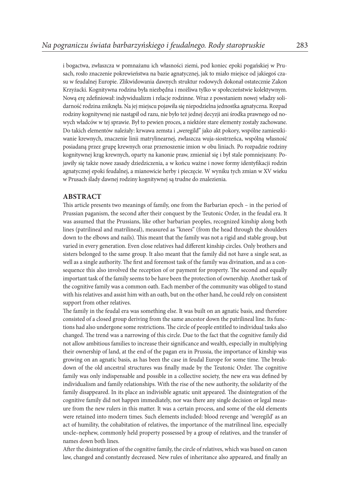i bogactwa, zwłaszcza w pomnażanu ich własności ziemi, pod koniec epoki pogańskiej w Prusach, rosło znaczenie pokrewieństwa na bazie agnatycznej, jak to miało miejsce od jakiegoś czasu w feudalnej Europie. Zlikwidowania dawnych struktur rodowych dokonał ostatecznie Zakon Krzyżacki. Kognitywna rodzina była niezbędna i możliwa tylko w społeczeństwie kolektywnym. Nową erę zdefiniował: indywidualizm i relacje rodzinne. Wraz z powstaniem nowej władzy solidarność rodzina zniknęła. Na jej miejscu pojawiła się niepodzielna jednostka agnatyczna. Rozpad rodziny kognitywnej nie nastąpił od razu, nie było też jednej decyzji ani środka prawnego od nowych władców w tej sprawie. Był to pewien proces, a niektóre stare elementy zostały zachowane. Do takich elementów należały: krwawa zemsta i "weregild" jako akt pokory, wspólne zamieszkiwanie krewnych, znaczenie linii matrylinearnej, zwłaszcza wuja-siostrzeńca, wspólną własność posiadaną przez grupę krewnych oraz przenoszenie imion w obu liniach. Po rozpadzie rodziny kognitywnej krąg krewnych, oparty na kanonie praw, zmieniał się i był stale pomniejszany. Pojawiły się także nowe zasady dziedziczenia, a w końcu ważne i nowe formy identyfikacji rodzin agnatycznej epoki feudalnej, a mianowicie herby i pieczęcie. W wyniku tych zmian w XV wieku w Prusach ślady dawnej rodziny kognitywnej są trudne do znalezienia.

#### **ABSTRACT**

This article presents two meanings of family, one from the Barbarian epoch – in the period of Prussian paganism, the second after their conquest by the Teutonic Order, in the feudal era. It was assumed that the Prussians, like other barbarian peoples, recognized kinship along both lines (patrilineal and matrilineal), measured as "knees" (from the head through the shoulders down to the elbows and nails). This meant that the family was not a rigid and stable group, but varied in every generation. Even close relatives had different kinship circles. Only brothers and sisters belonged to the same group. It also meant that the family did not have a single seat, as well as a single authority. The first and foremost task of the family was divination, and as a consequence this also involved the reception of or payment for property. The second and equally important task of the family seems to be have been the protection of ownership. Another task of the cognitive family was a common oath. Each member of the community was obliged to stand with his relatives and assist him with an oath, but on the other hand, he could rely on consistent support from other relatives.

The family in the feudal era was something else. It was built on an agnatic basis, and therefore consisted of a closed group deriving from the same ancestor down the patrilineal line. Its functions had also undergone some restrictions. The circle of people entitled to individual tasks also changed. The trend was a narrowing of this circle. Due to the fact that the cognitive family did not allow ambitious families to increase their significance and wealth, especially in multiplying their ownership of land, at the end of the pagan era in Prussia, the importance of kinship was growing on an agnatic basis, as has been the case in feudal Europe for some time. The breakdown of the old ancestral structures was finally made by the Teutonic Order. The cognitive family was only indispensable and possible in a collective society, the new era was defined by individualism and family relationships. With the rise of the new authority, the solidarity of the family disappeared. In its place an indivisible agnatic unit appeared. The disintegration of the cognitive family did not happen immediately, nor was there any single decision or legal measure from the new rulers in this matter. It was a certain process, and some of the old elements were retained into modern times. Such elements included: blood revenge and 'weregild' as an act of humility, the cohabitation of relatives, the importance of the matrilineal line, especially uncle–nephew, commonly held property possessed by a group of relatives, and the transfer of names down both lines.

After the disintegration of the cognitive family, the circle of relatives, which was based on canon law, changed and constantly decreased. New rules of inheritance also appeared, and finally an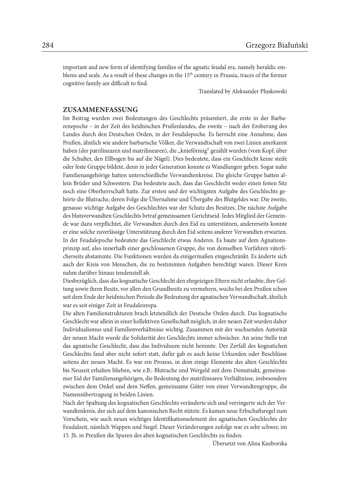important and new form of identifying families of the agnatic feudal era, namely heraldic emblems and seals. As a result of these changes in the 15th century in Prussia, traces of the former cognitive family are difficult to find.

Translated by Aleksander Pluskowski

#### **ZUSAMMENFASSUNG**

Im Beitrag wurden zwei Bedeutungen des Geschlechts präsentiert, die erste in der Barbarenepoche – in der Zeit des heidnischen Prußenlandes, die zweite – nach der Eroberung des Landes durch den Deutschen Orden, in der Feudalepoche. Es herrscht eine Annahme, dass Prußen, ähnlich wie andere barbarische Völker, die Verwandtschaft von zwei Linien anerkannt haben (der patrilinearen und matrilinearen), die "knieförmig" gezählt wurden (vom Kopf, über die Schulter, den Ellbogen bis auf die Nägel). Dies bedeutete, dass ein Geschlecht keine steife oder feste Gruppe bildete, denn in jeder Generation konnte es Wandlungen geben. Sogar nahe Familienangehörige hatten unterschiedliche Verwandtenkreise. Die gleiche Gruppe hatten allein Brüder und Schwestern. Das bedeutete auch, dass das Geschlecht weder einen festen Sitz noch eine Oberherrschaft hatte. Zur ersten und der wichtigsten Aufgabe des Geschlechts gehörte die Blutrache, deren Folge die Übernahme und Übergabe des Blutgeldes war. Die zweite, genauso wichtige Aufgabe des Geschlechtes war der Schutz des Besitzes. Die nächste Aufgabe des blutsverwandten Geschlechts betraf gemeinsamen Gerichtseid. Jedes Mitglied der Gemeinde war dazu verpflichtet, die Verwandten durch den Eid zu unterstützen, andererseits konnte er eine solche zuverlässige Unterstützung durch den Eid seitens anderer Verwandten erwarten. In der Feudalepoche bedeutete das Geschlecht etwas Anderes. Es baute auf dem Agnationsprinzip auf, also innerhalb einer geschlossenen Gruppe, die von demselben Vorfahren väterlicherseits abstammte. Die Funktionen wurden da einigermaßen eingeschränkt. Es änderte sich auch der Kreis von Menschen, die zu bestimmten Aufgaben berechtigt waren. Dieser Kreis nahm darüber hinaus tendenziell ab.

Diesbezüglich, dass das kognatische Geschlecht den ehrgeizigen Eltern nicht erlaubte, ihre Geltung sowie ihren Besitz, vor allen den Grundbesitz zu vermehren, wuchs bei den Prußen schon seit dem Ende der heidnischen Periode die Bedeutung der agnatischen Verwandtschaft, ähnlich war es seit einiger Zeit in Feudaleuropa.

Die alten Familienstrukturen brach letztendlich der Deutsche Orden durch. Das kognatische Geschlecht war allein in einer kollektiven Gesellschaft möglich, in der neuen Zeit wurden daher Individualismus und Familienverhältnisse wichtig. Zusammen mit der wachsenden Autorität der neuen Macht wurde die Solidarität des Geschlechts immer schwächer. An seine Stelle trat das agnatische Geschlecht, dass das Individuum nicht hemmte. Der Zerfall des kognatichen Geschlechts fand aber nicht sofort statt, dafür gab es auch keine Urkunden oder Beschlüsse seitens der neuen Macht. Es war ein Prozess, in dem einige Elemente des alten Geschlechts bis Neuzeit erhalten blieben, wie z.B.: Blutrache und Wergeld mit dem Demutsakt, gemeinsamer Eid der Familienangehörigen, die Bedeutung der matrilinearen Verhältnisse, insbesondere zwischen dem Onkel und dem Neffen, gemeinsame Güter von einer Verwandtengruppe, die Namensübertragung in beiden Linien.

Nach der Spaltung des kognatischen Geschlechts veränderte sich und verringerte sich der Verwandtenkreis, der sich auf dem kanonischen Recht stützte. Es kamen neue Erbschaftsregel zum Vorschein, wie auch neues wichtiges Identifikationselement des agnatischen Geschlechts der Feudalzeit, nämlich Wappen und Siegel. Dieser Veränderungen zufolge war es sehr schwer, im 15. Jh. in Preußen die Spuren des alten kognatischen Geschlechts zu finden.

Übersetzt von Alina Kuzborska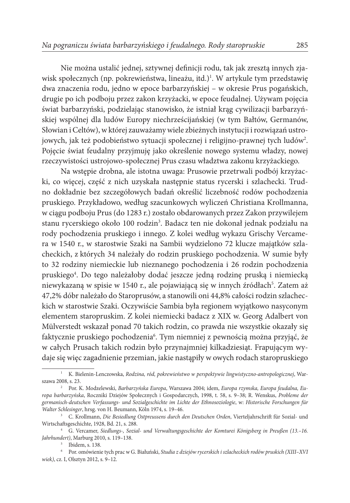Nie można ustalić jednej, sztywnej definicji rodu, tak jak zresztą innych zjawisk społecznych (np. pokrewieństwa, lineażu, itd.)<sup>1</sup>. W artykule tym przedstawię dwa znaczenia rodu, jedno w epoce barbarzyńskiej – w okresie Prus pogańskich, drugie po ich podboju przez zakon krzyżacki, w epoce feudalnej. Używam pojęcia świat barbarzyński, podzielając stanowisko, że istniał krąg cywilizacji barbarzyńskiej wspólnej dla ludów Europy niechrześcijańskiej (w tym Bałtów, Germanów, Słowian i Celtów), w której zauważamy wiele zbieżnych instytucji i rozwiązań ustrojowych, jak też podobieństwo sytuacji społecznej i religijno-prawnej tych ludów $^2\!$ . Pojęcie świat feudalny przyjmuję jako określenie nowego systemu władzy, nowej rzeczywistości ustrojowo-społecznej Prus czasu władztwa zakonu krzyżackiego.

Na wstępie drobna, ale istotna uwaga: Prusowie przetrwali podbój krzyżacki, co więcej, część z nich uzyskała następnie status rycerski i szlachecki. Trudno dokładnie bez szczegółowych badań określić liczebność rodów pochodzenia pruskiego. Przykładowo, według szacunkowych wyliczeń Christiana Krollmanna, w ciągu podboju Prus (do 1283 r.) zostało obdarowanych przez Zakon przywilejem stanu rycerskiego około 100 rodzin<sup>3</sup>. Badacz ten nie dokonał jednak podziału na rody pochodzenia pruskiego i innego. Z kolei według wykazu Grischy Vercamera w 1540 r., w starostwie Szaki na Sambii wydzielono 72 klucze majątków szlacheckich, z których 34 należały do rodzin pruskiego pochodzenia. W sumie były to 32 rodziny niemieckie lub nieznanego pochodzenia i 26 rodzin pochodzenia pruskiego<sup>4</sup>. Do tego należałoby dodać jeszcze jedną rodzinę pruską i niemiecką niewykazaną w spisie w 1540 r., ale pojawiającą się w innych źródłach<sup>5</sup>. Zatem aż 47,2% dóbr należało do Staroprusów, a stanowili oni 44,8% całości rodzin szlacheckich w starostwie Szaki. Oczywiście Sambia była regionem wyjątkowo nasyconym elementem staropruskim. Z kolei niemiecki badacz z XIX w. Georg Adalbert von Mülverstedt wskazał ponad 70 takich rodzin, co prawda nie wszystkie okazały się faktycznie pruskiego pochodzenia6 . Tym niemniej z pewnością można przyjąć, że w całych Prusach takich rodzin było przynajmniej kilkadziesiąt. Frapującym wydaje się więc zagadnienie przemian, jakie nastąpiły w owych rodach staropruskiego

<sup>1</sup> K. Bielenin-Lenczowska, *Rodzina, ród, pokrewieństwo w perspektywie lingwistyczno-antropologicznej*, Warszawa 2008, s. 23.

<sup>2</sup> Por. K. Modzelewski, *Barbarzyńska Europa*, Warszawa 2004; idem, *Europa rzymska, Europa feudalna, Europa barbarzyńska*, Roczniki Dziejów Społecznych i Gospodarczych, 1998, t. 58, s. 9–38; R. Wenskus, *Probleme der germanisch-deutschen Verfassungs- und Sozialgeschichte im Lichte der Ethnosoziologie*, w: *Historische Forschungen für Walter Schlesinger*, hrsg. von H. Beumann, Köln 1974, s. 19–46.

<sup>3</sup> C. Krollmann, *Die Besiedlung Ostpreussens durch den Deutschen Orden*, Vierteljahrschrift für Sozial- und Wirtschaftsgeschichte, 1928, Bd. 21, s. 288.

<sup>4</sup> G. Vercamer, *Siedlungs-, Sozial- und Verwaltungsgeschichte der Komturei Königsberg in Preußen (13.–16. Jahrhundert)*, Marburg 2010, s. 119–138.

<sup>5</sup> Ibidem, s. 138.

<sup>6</sup> Por. omówienie tych prac w G. Białuński, *Studia z dziejów rycerskich i szlacheckich rodów pruskich (XIII–XVI wiek)*, cz. I, Olsztyn 2012, s. 9–12.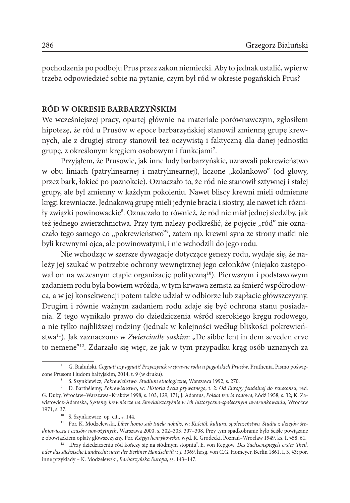pochodzenia po podboju Prus przez zakon niemiecki. Aby to jednak ustalić, wpierw trzeba odpowiedzieć sobie na pytanie, czym był ród w okresie pogańskich Prus?

# **RÓD W OKRESIE BARBARZYŃSKIM**

We wcześniejszej pracy, opartej głównie na materiale porównawczym, zgłosiłem hipotezę, że ród u Prusów w epoce barbarzyńskiej stanowił zmienną grupę krewnych, ale z drugiej strony stanowił też oczywistą i faktyczną dla danej jednostki grupę, z określonym kręgiem osobowym i funkcjami<sup>7</sup>.

Przyjąłem, że Prusowie, jak inne ludy barbarzyńskie, uznawali pokrewieństwo w obu liniach (patrylinearnej i matrylinearnej), liczone "kolankowo" (od głowy, przez bark, łokieć po paznokcie). Oznaczało to, że ród nie stanowił sztywnej i stałej grupy, ale był zmienny w każdym pokoleniu. Nawet bliscy krewni mieli odmienne kręgi krewniacze. Jednakową grupę mieli jedynie bracia i siostry, ale nawet ich różniły związki powinowackie<sup>8</sup>. Oznaczało to również, że ród nie miał jednej siedziby, jak też jednego zwierzchnictwa. Przy tym należy podkreślić, że pojęcie "ród" nie oznaczało tego samego co "pokrewieństwo"°, zatem np. krewni syna ze strony matki nie byli krewnymi ojca, ale powinowatymi, i nie wchodzili do jego rodu.

Nie wchodząc w szersze dywagacje dotyczące genezy rodu, wydaje się, że należy jej szukać w potrzebie ochrony wewnętrznej jego członków (niejako zastępował on na wczesnym etapie organizację polityczną<sup>10</sup>). Pierwszym i podstawowym zadaniem rodu była bowiem wróżda, w tym krwawa zemsta za śmierć współrodowca, a w jej konsekwencji potem także udział w odbiorze lub zapłacie główszczyzny. Drugim i równie ważnym zadaniem rodu zdaje się być ochrona stanu posiadania. Z tego wynikało prawo do dziedziczenia wśród szerokiego kręgu rodowego, a nie tylko najbliższej rodziny (jednak w kolejności według bliskości pokrewieństwa<sup>11</sup>). Jak zaznaczono w Zwierciadle saskim: "De sibbe lent in dem seveden erve to nemene"12. Zdarzało się więc, że jak w tym przypadku krąg osób uznanych za

<sup>7</sup> G. Białuński, *Cognati czy agnati? Przyczynek w sprawie rodu u pogańskich Prusów*, Pruthenia. Pismo poświęcone Prusom i ludom bałtyjskim, 2014, t. 9 (w druku).

<sup>8</sup> S. Szynkiewicz, *Pokrewieństwo. Studium etnologiczne*, Warszawa 1992, s. 270.

<sup>9</sup> D. Barthélemy, *Pokrewieństwo*, w: *Historia życia prywatnego*, t. 2: *Od Europy feudalnej do renesansu*, red. G. Duby, Wrocław–Warszawa–Kraków 1998, s. 103, 129, 171; J. Adamus, *Polska teoria rodowa*, Łódź 1958, s. 32; K. Zawistowicz-Adamska, *Systemy krewniacze na Słowiańszczyźnie w ich historyczno-społecznym uwarunkowaniu*, Wrocław 1971, s. 37.

<sup>10</sup> S. Szynkiewicz, op. cit., s. 144.

<sup>11</sup> Por. K. Modzelewski, *Liber homo sub tutela nobilis*, w: *Kościół, kultura, społeczeństwo. Studia z dziejów średniowiecza i czasów nowożytnych*, Warszawa 2000, s. 302–303, 307–308. Przy tym spadkobranie było ściśle powiązane z obowiązkiem opłaty główszczyzny. Por. *Księga henrykowska*, wyd. R. Grodecki, Poznań–Wrocław 1949, ks. I, §58, 61.

<sup>&</sup>lt;sup>12</sup> "Przy dziedziczeniu ród kończy się na siódmym stopniu", E. von Repgow, *Des Sachsenspiegels erster Theil*, *oder das sächsische Landrecht: nach der Berliner Handschrift v. J. 1369*, hrsg. von C.G. Homeyer, Berlin 1861, I, 3, §3; por. inne przykłady – K. Modzelewski, *Barbarzyńska Europa*, ss. 143–147.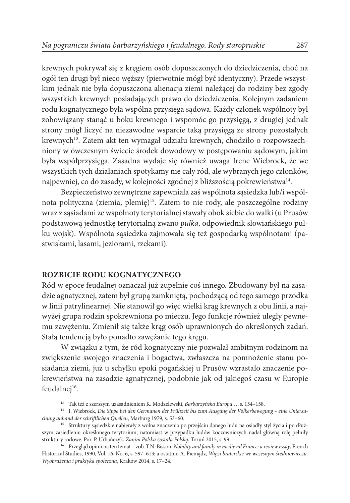krewnych pokrywał się z kręgiem osób dopuszczonych do dziedziczenia, choć na ogół ten drugi był nieco węższy (pierwotnie mógł być identyczny). Przede wszystkim jednak nie była dopuszczona alienacja ziemi należącej do rodziny bez zgody wszystkich krewnych posiadających prawo do dziedziczenia. Kolejnym zadaniem rodu kognatycznego była wspólna przysięga sądowa. Każdy członek wspólnoty był zobowiązany stanąć u boku krewnego i wspomóc go przysięgą, z drugiej jednak strony mógł liczyć na niezawodne wsparcie taką przysięgą ze strony pozostałych krewnych<sup>13</sup>. Zatem akt ten wymagał udziału krewnych, chodziło o rozpowszechniony w ówczesnym świecie środek dowodowy w postępowaniu sądowym, jakim była współprzysięga. Zasadna wydaje się również uwaga Irene Wiebrock, że we wszystkich tych działaniach spotykamy nie cały ród, ale wybranych jego członków, najpewniej, co do zasady, w kolejności zgodnej z bliższością pokrewieństwa<sup>14</sup>.

Bezpieczeństwo zewnętrzne zapewniała zaś wspólnota sąsiedzka lub/i wspólnota polityczna (ziemia, plemię)15. Zatem to nie rody, ale poszczególne rodziny wraz z sąsiadami ze wspólnoty terytorialnej stawały obok siebie do walki (u Prusów podstawową jednostkę terytorialną zwano *pulka*, odpowiednik słowiańskiego pułku wojsk). Wspólnota sąsiedzka zajmowała się też gospodarką wspólnotami (pastwiskami, lasami, jeziorami, rzekami).

# **ROZBICIE RODU KOGNATYCZNEGO**

Ród w epoce feudalnej oznaczał już zupełnie coś innego. Zbudowany był na zasadzie agnatycznej, zatem był grupą zamkniętą, pochodzącą od tego samego przodka w linii patrylinearnej. Nie stanowił go więc wielki krąg krewnych z obu linii, a najwyżej grupa rodzin spokrewniona po mieczu. Jego funkcje również uległy pewnemu zawężeniu. Zmienił się także krąg osób uprawnionych do określonych zadań. Stałą tendencją było ponadto zawężanie tego kręgu.

W związku z tym, że ród kognatyczny nie pozwalał ambitnym rodzinom na zwiększenie swojego znaczenia i bogactwa, zwłaszcza na pomnożenie stanu posiadania ziemi, już u schyłku epoki pogańskiej u Prusów wzrastało znaczenie pokrewieństwa na zasadzie agnatycznej, podobnie jak od jakiegoś czasu w Europie feudalnej<sup>16</sup>.

<sup>13</sup> Tak też z szerszym uzasadnieniem K. Modzelewski, *Barbarzyńska Europa…*, s. 154–158.

<sup>14</sup> I. Wiebrock, *Die Sippe bei den Germanen der Frühzeit bis zum Ausgang der Völkerbewegung – eine Untersuchung anhand der schriftlichen Quellen*, Marburg 1979, s. 53–60.

<sup>&</sup>lt;sup>15</sup> Struktury sąsiedzkie nabierały z wolna znaczenia po przejściu danego ludu na osiadły styl życia i po dłuższym zasiedleniu określonego terytorium, natomiast w przypadku ludów koczowniczych nadal główną rolę pełniły struktury rodowe. Por. P. Urbańczyk, *Zanim Polska została Polską*, Toruń 2015, s. 99.

<sup>16</sup> Przegląd opinii na ten temat – zob. T.N. Bisson, *Nobility and family in medieval France: a review essay*, French Historical Studies, 1990, Vol. 16, No. 6, s. 597–613; a ostatnio A. Pieniądz, *Więzi braterskie we wczesnym średniowieczu. Wyobrażenia i praktyka społeczna*, Kraków 2014, s. 17–24.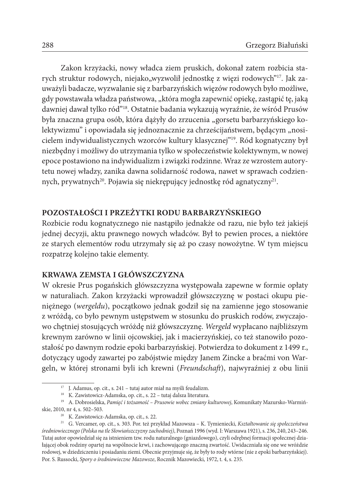Zakon krzyżacki, nowy władca ziem pruskich, dokonał zatem rozbicia starych struktur rodowych, niejako, wyzwolił jednostkę z więzi rodowych"<sup>17</sup>. Jak zauważyli badacze, wyzwalanie się z barbarzyńskich więzów rodowych było możliwe, gdy powstawała władza państwowa, "która mogła zapewnić opiekę, zastąpić tę, jaką dawniej dawał tylko ród"18. Ostatnie badania wykazują wyraźnie, że wśród Prusów była znaczna grupa osób, która dążyły do zrzucenia "gorsetu barbarzyńskiego kolektywizmu" i opowiadała się jednoznacznie za chrześcijaństwem, będącym "nosicielem indywidualistycznych wzorców kultury klasycznej"19. Ród kognatyczny był niezbędny i możliwy do utrzymania tylko w społeczeństwie kolektywnym, w nowej epoce postawiono na indywidualizm i związki rodzinne. Wraz ze wzrostem autorytetu nowej władzy, zanika dawna solidarność rodowa, nawet w sprawach codziennych, prywatnych<sup>20</sup>. Pojawia się niekrępujący jednostkę ród agnatyczny<sup>21</sup>.

# **POZOSTAŁOŚCI I PRZEŻYTKI RODU BARBARZYŃSKIEGO**

Rozbicie rodu kognatycznego nie nastąpiło jednakże od razu, nie było też jakiejś jednej decyzji, aktu prawnego nowych władców. Był to pewien proces, a niektóre ze starych elementów rodu utrzymały się aż po czasy nowożytne. W tym miejscu rozpatrzę kolejno takie elementy.

# **KRWAWA ZEMSTA I GŁÓWSZCZYZNA**

W okresie Prus pogańskich główszczyzna występowała zapewne w formie opłaty w naturaliach. Zakon krzyżacki wprowadził główszczyznę w postaci okupu pieniężnego (*wergeldu*), początkowo jednak godził się na zamienne jego stosowanie z wróżdą, co było pewnym ustępstwem w stosunku do pruskich rodów, zwyczajowo chętniej stosujących wróżdę niż główszczyznę. *Wergeld* wypłacano najbliższym krewnym zarówno w linii ojcowskiej, jak i macierzyńskiej, co też stanowiło pozostałość po dawnym rodzie epoki barbarzyńskiej. Potwierdza to dokument z 1499 r., dotyczący ugody zawartej po zabójstwie między Janem Zincke a braćmi von Wargeln, w której stronami byli ich krewni (*Freundschaft*), najwyraźniej z obu linii

<sup>17</sup> J. Adamus, op. cit., s. 241 – tutaj autor miał na myśli feudalizm.

<sup>&</sup>lt;sup>18</sup> K. Zawistowicz-Adamska, op. cit., s. 22 – tutaj dalsza literatura.

<sup>19</sup> A. Dobrosielska, *Pamięć i tożsamość – Prusowie wobec zmiany kulturowej*, Komunikaty Mazursko-Warmińskie, 2010, nr 4, s. 502–503.

<sup>20</sup> K. Zawistowicz-Adamska, op. cit., s. 22.

<sup>21</sup> G. Vercamer, op. cit., s. 303. Por. też przykład Mazowsza – K. Tymieniecki, *Kształtowanie się społeczeństwa średniowiecznego (Polska na tle Słowiańszczyzny zachodniej)*, Poznań 1996 (wyd. I: Warszawa 1921), s. 236, 240, 243–246. Tutaj autor opowiedział się za istnieniem tzw. rodu naturalnego (gniazdowego), czyli odrębnej formacji społecznej działającej obok rodziny opartej na wspólnocie krwi, i zachowującego znaczną zwartość. Uwidaczniała się one we wróżdzie rodowej, w dziedziczeniu i posiadaniu ziemi. Obecnie przyjmuje się, że były to rody wtórne (nie z epoki barbarzyńskiej). Por. S. Russocki, *Spory o średniowieczne Mazowsze*, Rocznik Mazowiecki, 1972, t. 4, s. 235.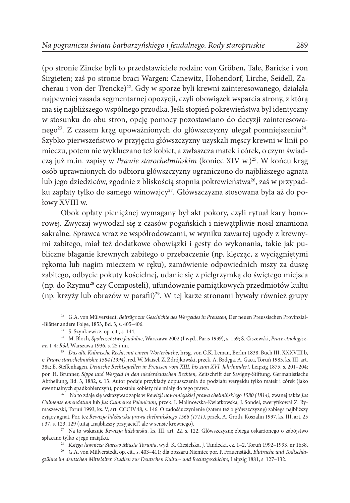(po stronie Zincke byli to przedstawiciele rodzin: von Gröben, Tale, Baricke i von Sirgieten; zaś po stronie braci Wargen: Canewitz, Hohendorf, Lirche, Seidell, Zacherau i von der Trencke)<sup>22</sup>. Gdy w sporze byli krewni zainteresowanego, działała najpewniej zasada segmentarnej opozycji, czyli obowiązek wsparcia strony, z którą ma się najbliższego wspólnego przodka. Jeśli stopień pokrewieństwa był identyczny w stosunku do obu stron, opcję pomocy pozostawiano do decyzji zainteresowanego<sup>23</sup>. Z czasem krąg upoważnionych do główszczyzny ulegał pomniejszeniu<sup>24</sup>. Szybko pierwszeństwo w przyjęciu główszczyzny uzyskali męscy krewni w linii po mieczu, potem nie wykluczano też kobiet, a zwłaszcza matek i córek, o czym świadczą już m.in. zapisy w Prawie starochełmińskim (koniec XIV w.)<sup>25</sup>. W końcu krąg osób uprawnionych do odbioru główszczyzny ograniczono do najbliższego agnata lub jego dziedziców, zgodnie z bliskością stopnia pokrewieństwa<sup>26</sup>, zaś w przypadku zapłaty tylko do samego winowajcy<sup>27</sup>. Główszczyzna stosowana była aż do połowy XVIII w.

Obok opłaty pieniężnej wymagany był akt pokory, czyli rytuał kary honorowej. Zwyczaj wywodził się z czasów pogańskich i niewątpliwie nosił znamiona sakralne. Sprawca wraz ze współrodowcami, w wyniku zawartej ugody z krewnymi zabitego, miał też dodatkowe obowiązki i gesty do wykonania, takie jak publiczne błaganie krewnych zabitego o przebaczenie (np. klęcząc, z wyciągniętymi rękoma lub nagim mieczem w ręku), zamówienie odpowiednich mszy za duszę zabitego, odbycie pokuty kościelnej, udanie się z pielgrzymką do świętego miejsca (np. do Rzymu28 czy Composteli), ufundowanie pamiątkowych przedmiotów kultu (np. krzyży lub obrazów w parafii)29. W tej karze stronami bywały również grupy

<sup>22</sup> G.A. von Mülverstedt, *Beiträge zur Geschichte des Wergeldes in Preussen*, Der neuen Preussischen Provinzial- -Blätter andere Folge, 1853, Bd. 3, s. 405–406.

<sup>23</sup> S. Szynkiewicz, op. cit., s. 144.

<sup>24</sup> M. Bloch, *Społeczeństwo feudalne*, Warszawa 2002 (I wyd., Paris 1939), s. 159; S. Ciszewski, *Prace etnologiczne*, t. 4: *Ród*, Warszawa 1936, s. 25 i nn.

<sup>25</sup> *Das alte Kulmische Recht, mit einem Wörterbuche*, hrsg. von C.K. Leman, Berlin 1838, Buch III, XXXVIII b, c; *Prawo starochełmińskie 1584 (1394)*, red. W. Maisel, Z. Zdrójkowski, przek. A. Bzdęga, A. Gaca, Toruń 1983, ks. III, art. 38a; E. Steffenhagen, *Deutsche Rechtsquellen in Preussen vom XIII. bis zum XVI. Jahrhundert*, Leipzig 1875, s. 201–204; por. H. Brunner, *Sippe und Wergeld in den niederdeutschen Rechten*, Zeitschrift der Savigny-Stiftung. Germanistische Abtheilung, Bd. 3, 1882, s. 13. Autor podaje przykłady dopuszczenia do podziału wergeldu tylko matek i córek (jako ewentualnych spadkobierczyń), pozostałe kobiety nie miały do tego prawa.

<sup>26</sup> Na to zdaje się wskazywać zapis w *Rewizji nowomiejskiej prawa chełmińskiego 1580 (1814)*, zwanej także *Jus Culmense emendatum* lub *Jus Culmense Polonicum*, przek. I. Malinowska-Kwiatkowska, J. Sondel, zweryfikował Z. Rymaszewski, Toruń 1993, ks. V, art. CCCIV.48, s. 146. O zadośćuczynienie (zatem też o główszczyznę) zabiega najbliższy żyjący agnat. Por. też *Rewizja lidzbarska prawa chełmińskiego 1566 (1711)*, przek. A. Groth, Koszalin 1997, ks. III, art. 25 i 37, s. 123, 129 (tutaj "najbliższy przyjaciel", ale w sensie krewnego).

<sup>27</sup> Na to wskazuje *Rewizja lidzbarska*, ks. III, art. 22, s. 122. Główszczyznę zbiega oskarżonego o zabójstwo spłacano tylko z jego majątku.

<sup>28</sup> *Księga ławnicza Starego Miasta Torunia*, wyd. K. Ciesielska, J. Tandecki, cz. 1–2, Toruń 1992–1993, nr 1638.

<sup>29</sup> G.A. von Mülverstedt, op. cit., s. 403–411; dla obszaru Niemiec por. P. Frauenstädt, *Blutrache und Todtschlagsühne im deutschen Mittelalter. Studien zur Deutschen Kultur- und Rechtsgeschichte*, Leipzig 1881, s. 127–132.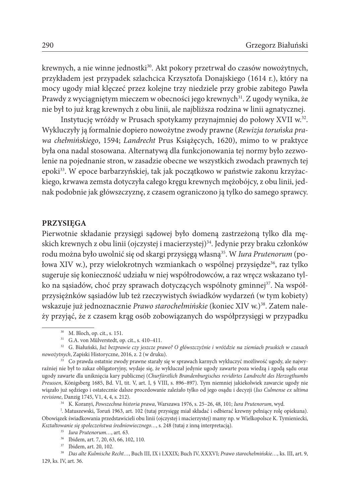krewnych, a nie winne jednostki<sup>30</sup>. Akt pokory przetrwał do czasów nowożytnych, przykładem jest przypadek szlachcica Krzysztofa Donajskiego (1614 r.), który na mocy ugody miał klęczeć przez kolejne trzy niedziele przy grobie zabitego Pawła Prawdy z wyciągniętym mieczem w obecności jego krewnych<sup>31</sup>. Z ugody wynika, że nie był to już krąg krewnych z obu linii, ale najbliższa rodzina w linii agnatycznej.

Instytucję wróżdy w Prusach spotykamy przynajmniej do połowy XVII w.32. Wykluczyły ją formalnie dopiero nowożytne zwody prawne (*Rewizja toruńska prawa chełmińskiego*, 1594; *Landrecht* Prus Książęcych, 1620), mimo to w praktyce była ona nadal stosowana. Alternatywą dla funkcjonowania tej normy było zezwolenie na pojednanie stron, w zasadzie obecne we wszystkich zwodach prawnych tej epoki33. W epoce barbarzyńskiej, tak jak początkowo w państwie zakonu krzyżackiego, krwawa zemsta dotyczyła całego kręgu krewnych mężobójcy, z obu linii, jednak podobnie jak główszczyznę, z czasem ograniczono ją tylko do samego sprawcy.

## **PRZYSIĘGA**

Pierwotnie składanie przysięgi sądowej było domeną zastrzeżoną tylko dla męskich krewnych z obu linii (ojczystej i macierzystej)<sup>34</sup>. Jedynie przy braku członków rodu można było uwolnić się od skargi przysięgą własną35. W *Iura Prutenorum* (połowa XIV w.), przy wielokrotnych wzmiankach o wspólnej przysiędze<sup>36</sup>, raz tylko sugeruje się konieczność udziału w niej współrodowców, a raz wręcz wskazano tylko na sąsiadów, choć przy sprawach dotyczących wspólnoty gminnej<sup>37</sup>. Na współprzysiężnków sąsiadów lub też rzeczywistych świadków wydarzeń (w tym kobiety) wskazuje już jednoznacznie *Prawo starochełmińskie* (koniec XIV w.)38. Zatem należy przyjąć, że z czasem krąg osób zobowiązanych do współprzysięgi w przypadku

<sup>34</sup> K. Koranyi, *Powszechna historia prawa*, Warszawa 1976, s. 25–26, 48, 101; *Iura Prutenorum*, wyd.

J . Matuszewski, Toruń 1963, art. 102 (tutaj przysięgę miał składać i odbierać krewny pełniący rolę opiekuna). Obowiązek świadkowania przedstawicieli obu linii (ojczystej i macierzystej) mamy np. w Wielkopolsce K. Tymieniecki, *Kształtowanie się społeczeństwa średniowiecznego…*, s. 248 (tutaj z inną interpretacją).

<sup>30</sup> M. Bloch, op. cit., s. 151.

<sup>31</sup> G.A. von Mülverstedt, op. cit., s. 410–411.

<sup>32</sup> G. Białuński, *Już bezprawie czy jeszcze prawo? O główszczyźnie i wróżdzie na ziemiach pruskich w czasach nowożytnych*, Zapiski Historyczne, 2016, z. 2 (w druku).

<sup>&</sup>lt;sup>33</sup> Co prawda ostatnie zwody prawne starały się w sprawach karnych wykluczyć możliwość ugody, ale najwyraźniej nie był to zakaz obligatoryjny, wydaje się, że wykluczał jedynie ugody zawarte poza wiedzą i zgodą sądu oraz ugody zawarte dla uniknięcia kary publicznej (*Churfürstlich Brandenburgisches revidirtes Landrecht des Herzogthumbs Preussen*, Königsberg 1685, Bd. VI, tit. V, art. I, § VIII, s. 896–897). Tym niemniej jakiekolwiek zawarcie ugody nie wiązało już sędziego i ostatecznie dalsze procedowanie zależało tylko od jego osądu i decyzji (*Ius Culmense ex ultima revisione*, Danzig 1745, V1, 4, 4, s. 212).

<sup>35</sup> *Iura Prutenorum…*, art. 63.

<sup>36</sup> Ibidem, art. 7, 20, 63, 66, 102, 110.

<sup>37</sup> Ibidem, art. 20, 102.

<sup>38</sup> *Das alte Kulmische Recht…*, Buch III, IX i LXXIX; Buch IV, XXXVI; *Prawo starochełmińskie…*, ks. III, art. 9, 129, ks. IV, art. 36.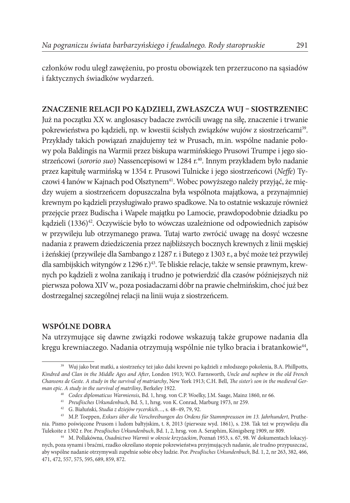członków rodu uległ zawężeniu, po prostu obowiązek ten przerzucono na sąsiadów i faktycznych świadków wydarzeń.

# **ZNACZENIE RELACJI PO KĄDZIELI, ZWŁASZCZA WUJ – SIOSTRZENIEC**

Już na początku XX w. anglosascy badacze zwrócili uwagę na siłę, znaczenie i trwanie pokrewieństwa po kądzieli, np. w kwestii ścisłych związków wujów z siostrzeńcami<sup>39</sup>. Przykłady takich powiązań znajdujemy też w Prusach, m.in. wspólne nadanie połowy pola Baldingis na Warmii przez biskupa warmińskiego Prusowi Trumpe i jego siostrzeńcowi (*sororio suo*) Nassencepisowi w 1284 r.<sup>40</sup>. Innym przykładem było nadanie przez kapitułę warmińską w 1354 r. Prusowi Tulnicke i jego siostrzeńcowi (*Neffe*) Tyczowi 4 łanów w Kajnach pod Olsztynem<sup>41</sup>. Wobec powyższego należy przyjąć, że między wujem a siostrzeńcem dopuszczalna była wspólnota majątkowa, a przynajmniej krewnym po kądzieli przysługiwało prawo spadkowe. Na to ostatnie wskazuje również przejęcie przez Budischa i Wapele majątku po Lamocie, prawdopodobnie dziadku po kądzieli (1336)<sup>42</sup>. Oczywiście było to wówczas uzależnione od odpowiednich zapisów w przywileju lub otrzymanego prawa. Tutaj warto zwrócić uwagę na dosyć wczesne nadania z prawem dziedziczenia przez najbliższych bocznych krewnych z linii męskiej i żeńskiej (przywileje dla Sambango z 1287 r. i Butego z 1303 r., a być może też przywilej dla sambijskich wityngów z 1296 r.)<sup>43</sup>. Te bliskie relacje, także w sensie prawnym, krewnych po kądzieli z wolna zanikają i trudno je potwierdzić dla czasów późniejszych niż pierwsza połowa XIV w., poza posiadaczami dóbr na prawie chełmińskim, choć już bez dostrzegalnej szczególnej relacji na linii wuja z siostrzeńcem.

# **WSPÓLNE DOBRA**

Na utrzymujące się dawne związki rodowe wskazują także grupowe nadania dla kręgu krewniaczego. Nadania otrzymują wspólnie nie tylko bracia i bratankowie<sup>44</sup>,

<sup>&</sup>lt;sup>39</sup> Wuj jako brat matki, a siostrzeńcy też jako dalsi krewni po kądzieli z młodszego pokolenia, B.A. Phillpotts, *Kindred and Clan in the Middle Ages and After*, London 1913; W.O. Farnsworth, *Uncle and nephew in the old French Chansons de Geste. A study in the survival of matriarchy*, New York 1913; C.H. Bell, *The sister's son in the medieval German epic. A study in the survival of matriliny*, Berkeley 1922.

<sup>40</sup> *Codex diplomaticus Warmiensis*, Bd. 1, hrsg. von C.P. Woelky, J.M. Saage, Mainz 1860, nr 66.

<sup>41</sup> *Preuβisches Urkundenbuch*, Bd. 5, 1, hrsg. von K. Conrad, Marburg 1973, nr 259.

<sup>42</sup> G. Białuński, *Studia z dziejów rycerskich…*, s. 48–49, 79, 92.

<sup>43</sup> M.P. Toeppen, *Exkurs über die Verschreibungen des Ordens für Stammpreussen im 13. Jahrhundert*, Pruthenia. Pismo poświęcone Prusom i ludom bałtyjskim, t. 8, 2013 (pierwsze wyd. 1861), s. 238. Tak też w przywileju dla Tulekoite z 1302 r. Por. *Preuβisches Urkundenbuch*, Bd. 1, 2, hrsg. von A. Seraphim, Königsberg 1909, nr 809.

<sup>44</sup> M. Pollakówna, *Osadnictwo Warmii w okresie krzyżackim*, Poznań 1953, s. 67, 98. W dokumentach lokacyjnych, poza synami i braćmi, rzadko określano stopnie pokrewieństwa przyjmujących nadanie, ale trudno przypuszczać, aby wspólne nadanie otrzymywali zupełnie sobie obcy ludzie. Por. *Preuβisches Urkundenbuch*, Bd. 1, 2, nr 263, 382, 466, 471, 472, 557, 575, 595, 689, 859, 872.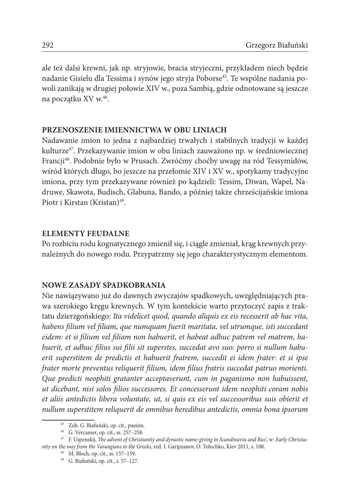ale też dalsi krewni, jak np. stryjowie, bracia stryjeczni, przykładem niech będzie nadanie Gisielu dla Tessima i synów jego stryja Poborse<sup>45</sup>. Te wspólne nadania powoli zanikają w drugiej połowie XIV w., poza Sambią, gdzie odnotowane są jeszcze na początku XV w.<sup>46</sup>.

# **PRZENOSZENIE IMIENNICTWA W OBU LINIACH**

Nadawanie imion to jedna z najbardziej trwałych i stabilnych tradycji w każdej kulturze47. Przekazywanie imion w obu liniach zauważono np. w średniowiecznej Francji48. Podobnie było w Prusach. Zwróćmy choćby uwagę na ród Tessymidów, wśród których długo, bo jeszcze na przełomie XIV i XV w., spotykamy tradycyjne imiona, przy tym przekazywane również po kądzieli: Tessim, Diwan, Wapel, Nadruwe, Skawota, Budisch, Glabuna, Bando, a później także chrześcijańskie imiona Piotr i Kirstan (Kristan)<sup>49</sup>.

### **ELEMENTY FEUDALNE**

Po rozbiciu rodu kognatycznego zmienił się, i ciągle zmieniał, krąg krewnych przynależnych do nowego rodu. Przypatrzmy się jego charakterystycznym elementom.

# **NOWE ZASADY SPADKOBRANIA**

Nie nawiązywano już do dawnych zwyczajów spadkowych, uwzględniających prawa szerokiego kręgu krewnych. W tym kontekście warto przytoczyć zapis z traktatu dzierzgońskiego: *Ita videlicet quod, quando aliquis ex eis recesserit ab hac vita, habens filium vel filiam, que numquam fuerit maritata, vel utrumque, isti succedant eidem: et si filium vel filiam non habuerit, et habeat adhuc patrem vel matrem, habuerit, et adhuc filius sui filii sit superstes, succedat avo suo: porro si nullum habuerit superstitem de predictis et habuerit fratrem, succedit ei idem frater: et si ipse frater morte preventus reliquerit filium, idem filius fratris succedat patruo morienti. Que predicti neophiti gratanter acceptaverunt, cum in paganismo non habuissent, ut dicebant, nisi solos filios successores. Et concesserunt idem neophiti coram nobis et aliis antedictis libera voluntate, ut, si quis ex eis vel successoribus suis obierit et nullum superstitem reliquerit de omnibus heredibus antedictis, omnia bona ipsorum* 

<sup>45</sup> Zob. G. Białuński, op. cit., passim.

<sup>46</sup> G. Vercamer, op. cit., ss. 257–258.

<sup>47</sup> F. Uspenskij, *The advent of Christianity and dynastic name-giving in Scandinavia and Rus'*, w: *Early Christianity on the way from the Varangians to the Greeks*, red. I. Garipzanov, O. Tolochko, Kiev 2011, s. 108.

<sup>48</sup> M. Bloch, op. cit., ss. 157–159.

<sup>49</sup> G. Białuński, op. cit., s. 57–127.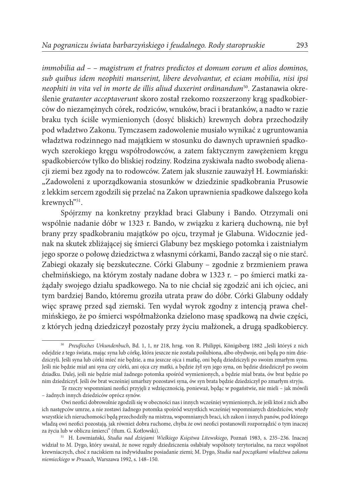*immobilia ad – – magistrum et fratres predictos et domum eorum et alios dominos, sub quibus idem neophiti manserint, libere devolvantur, et eciam mobilia, nisi ipsi neophiti in vita vel in morte de illis aliud duxerint ordinandum*50. Zastanawia określenie *gratanter acceptaverunt* skoro został rzekomo rozszerzony krąg spadkobierców do niezamężnych córek, rodziców, wnuków, braci i bratanków, a nadto w razie braku tych ściśle wymienionych (dosyć bliskich) krewnych dobra przechodziły pod władztwo Zakonu. Tymczasem zadowolenie musiało wynikać z ugruntowania władztwa rodzinnego nad majątkiem w stosunku do dawnych uprawnień spadkowych szerokiego kręgu współrodowców, a zatem faktycznym zawężeniem kręgu spadkobierców tylko do bliskiej rodziny. Rodzina zyskiwała nadto swobodę alienacji ziemi bez zgody na to rodowców. Zatem jak słusznie zauważył H. Łowmiański: "Zadowoleni z uporządkowania stosunków w dziedzinie spadkobrania Prusowie z lekkim sercem zgodzili się przelać na Zakon uprawnienia spadkowe dalszego koła krewnych"<sup>51</sup>.

Spójrzmy na konkretny przykład braci Glabuny i Bando. Otrzymali oni wspólnie nadanie dóbr w 1323 r. Bando, w związku z karierą duchowną, nie był brany przy spadkobraniu majątków po ojcu, trzymał je Glabuna. Widocznie jednak na skutek zbliżającej się śmierci Glabuny bez męskiego potomka i zaistniałym jego sporze o połowę dziedzictwa z własnymi córkami, Bando zaczął się o nie starć. Zabiegi okazały się bezskuteczne. Córki Glabuny – zgodnie z brzmieniem prawa chełmińskiego, na którym zostały nadane dobra w 1323 r. – po śmierci matki zażądały swojego działu spadkowego. Na to nie chciał się zgodzić ani ich ojciec, ani tym bardziej Bando, któremu groziła utrata praw do dóbr. Córki Glabuny oddały więc sprawę przed sąd ziemski. Ten wydał wyrok zgodny z intencją prawa chełmińskiego, że po śmierci współmałżonka dzielono masę spadkową na dwie części, z których jedną dziedziczył pozostały przy życiu małżonek, a drugą spadkobiercy.

<sup>&</sup>lt;sup>50</sup> Preuβisches Urkundenbuch, Bd. 1, 1, nr 218, hrsg. von R. Philippi, Königsberg 1882 "Jeśli któryś z nich odejdzie z tego świata, mając syna lub córkę, która jeszcze nie została poślubiona, albo obydwoje, oni będą po nim dziedziczyli. Jeśli syna lub córki mieć nie będzie, a ma jeszcze ojca i matkę, oni będą dziedziczyli po swoim zmarłym synu. Jeśli nie będzie miał ani syna czy córki, ani ojca czy matki, a będzie żył syn jego syna, on będzie dziedziczył po swoim dziadku. Dalej, jeśli nie będzie miał żadnego potomka spośród wymienionych, a będzie miał brata, ów brat będzie po nim dziedziczył. Jeśli ów brat wcześniej umarłszy pozostawi syna, ów syn brata będzie dziedziczył po zmarłym stryju.

Te rzeczy wspomniani neofici przyjęli z wdzięcznością, ponieważ, będąc w pogaństwie, nie mieli – jak mówili – żadnych innych dziedziców oprócz synów.

Owi neofici dobrowolnie zgodzili się w obecności nas i innych wcześniej wymienionych, że jeśli ktoś z nich albo ich następców umrze, a nie zostawi żadnego potomka spośród wszystkich wcześniej wspomnianych dziedziców, wtedy wszystkie ich nieruchomości będą przechodziły na mistrza, wspomnianych braci, ich zakon i innych panów, pod którego władzą owi neofici pozostają, jak również dobra ruchome, chyba że owi neofici postanowili rozporządzić o tym inaczej za życia lub w obliczu śmierci" (tłum. G. Kotłowski).

<sup>51</sup> H. Łowmiański, *Studia nad dziejami Wielkiego Księstwa Litewskiego*, Poznań 1983, s. 235–236. Inaczej widział to M. Dygo, który uważał, że nowe reguły dziedziczenia osłabiały wspólnoty terytorialne, na rzecz wspólnot krewniaczych, choć z naciskiem na indywidualne posiadanie ziemi; M. Dygo, *Studia nad początkami władztwa zakonu niemieckiego w Prusach*, Warszawa 1992, s. 148–150.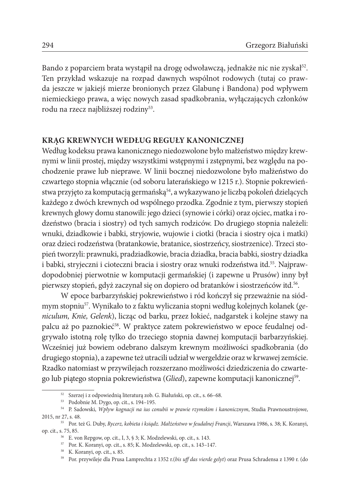Bando z poparciem brata wystąpił na drogę odwoławczą, jednakże nic nie zyskał<sup>52</sup>. Ten przykład wskazuje na rozpad dawnych wspólnot rodowych (tutaj co prawda jeszcze w jakiejś mierze bronionych przez Glabunę i Bandona) pod wpływem niemieckiego prawa, a więc nowych zasad spadkobrania, wyłączających członków rodu na rzecz najbliższej rodziny<sup>53</sup>.

## **KRĄG KREWNYCH WEDŁUG REGUŁY KANONICZNEJ**

Według kodeksu prawa kanonicznego niedozwolone było małżeństwo między krewnymi w linii prostej, między wszystkimi wstępnymi i zstępnymi, bez względu na pochodzenie prawe lub nieprawe. W linii bocznej niedozwolone było małżeństwo do czwartego stopnia włącznie (od soboru laterańskiego w 1215 r.). Stopnie pokrewieństwa przyjęto za komputacją germańską<sup>54</sup>, a wykazywano je liczbą pokoleń dzielących każdego z dwóch krewnych od wspólnego przodka. Zgodnie z tym, pierwszy stopień krewnych głowy domu stanowili: jego dzieci (synowie i córki) oraz ojciec, matka i rodzeństwo (bracia i siostry) od tych samych rodziców. Do drugiego stopnia należeli: wnuki, dziadkowie i babki, stryjowie, wujowie i ciotki (bracia i siostry ojca i matki) oraz dzieci rodzeństwa (bratankowie, bratanice, siostrzeńcy, siostrzenice). Trzeci stopień tworzyli: prawnuki, pradziadkowie, bracia dziadka, bracia babki, siostry dziadka i babki, stryjeczni i cioteczni bracia i siostry oraz wnuki rodzeństwa itd.<sup>55</sup>. Najprawdopodobniej pierwotnie w komputacji germańskiej (i zapewne u Prusów) inny był pierwszy stopień, gdyż zaczynał się on dopiero od bratanków i siostrzeńców itd.56.

W epoce barbarzyńskiej pokrewieństwo i ród kończył się przeważnie na siódmym stopniu57. Wynikało to z faktu wyliczania stopni według kolejnych kolanek (*geniculum, Knie, Gelenk*), licząc od barku, przez łokieć, nadgarstek i kolejne stawy na palcu aż po paznokieć58. W praktyce zatem pokrewieństwo w epoce feudalnej odgrywało istotną rolę tylko do trzeciego stopnia dawnej komputacji barbarzyńskiej. Wcześniej już bowiem odebrano dalszym krewnym możliwości spadkobrania (do drugiego stopnia), a zapewne też utracili udział w wergeldzie oraz w krwawej zemście. Rzadko natomiast w przywilejach rozszerzano możliwości dziedziczenia do czwartego lub piątego stopnia pokrewieństwa (*Glied*), zapewne komputacji kanonicznej59.

<sup>52</sup> Szerzej i z odpowiednią literaturą zob. G. Białuński, op. cit., s. 66–68.

<sup>53</sup> Podobnie M. Dygo, op. cit., s. 194–195.

<sup>54</sup> P. Sadowski, *Wpływ kognacji na ius conubii w prawie rzymskim i kanonicznym*, Studia Prawnoustrojowe, 2015, nr 27, s. 48.

<sup>55</sup> Por. też G. Duby, *Rycerz, kobieta i ksiądz. Małżeństwo w feudalnej Francji*, Warszawa 1986, s. 38; K. Koranyi, op. cit., s. 75, 85.

<sup>56</sup> E. von Repgow, op. cit., I, 3, § 3; K. Modzelewski, op. cit., s. 143.

<sup>57</sup> Por. K. Koranyi, op. cit., s. 85; K. Modzelewski, op. cit., s. 143–147.

<sup>58</sup> K. Koranyi, op. cit., s. 85.

<sup>59</sup> Por. przywileje dla Prusa Lamprechta z 1352 r.(*bis uff das vierde gelyt*) oraz Prusa Schradensa z 1390 r. (do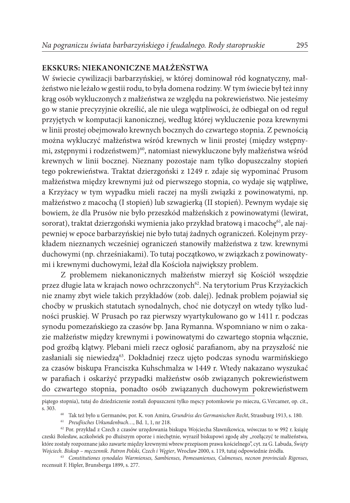# **EKSKURS: NIEKANONICZNE MAŁŻEŃSTWA**

W świecie cywilizacji barbarzyńskiej, w której dominował ród kognatyczny, małżeństwo nie leżało w gestii rodu, to była domena rodziny. W tym świecie był też inny krąg osób wykluczonych z małżeństwa ze względu na pokrewieństwo. Nie jesteśmy go w stanie precyzyjnie określić, ale nie ulega wątpliwości, że odbiegał on od reguł przyjętych w komputacji kanonicznej, według której wykluczenie poza krewnymi w linii prostej obejmowało krewnych bocznych do czwartego stopnia. Z pewnością można wykluczyć małżeństwa wśród krewnych w linii prostej (między wstępnymi, zstępnymi i rodzeństwem)<sup>60</sup>, natomiast niewykluczone były małżeństwa wśród krewnych w linii bocznej. Nieznany pozostaje nam tylko dopuszczalny stopień tego pokrewieństwa. Traktat dzierzgoński z 1249 r. zdaje się wypominać Prusom małżeństwa między krewnymi już od pierwszego stopnia, co wydaje się wątpliwe, a Krzyżacy w tym wypadku mieli raczej na myśli związki z powinowatymi, np. małżeństwo z macochą (I stopień) lub szwagierką (II stopień). Pewnym wydaje się bowiem, że dla Prusów nie było przeszkód małżeńskich z powinowatymi (lewirat, sororat), traktat dzierzgoński wymienia jako przykład bratową i macochę<sup>61</sup>, ale najpewniej w epoce barbarzyńskiej nie było tutaj żadnych ograniczeń. Kolejnym przykładem nieznanych wcześniej ograniczeń stanowiły małżeństwa z tzw. krewnymi duchowymi (np. chrześniakami). To tutaj początkowo, w związkach z powinowatymi i krewnymi duchowymi, leżał dla Kościoła największy problem.

Z problemem niekanonicznych małżeństw mierzył się Kościół wszędzie przez długie lata w krajach nowo ochrzczonych<sup>62</sup>. Na terytorium Prus Krzyżackich nie znamy zbyt wiele takich przykładów (zob. dalej). Jednak problem pojawiał się choćby w pruskich statutach synodalnych, choć nie dotyczył on wtedy tylko ludności pruskiej. W Prusach po raz pierwszy wyartykułowano go w 1411 r. podczas synodu pomezańskiego za czasów bp. Jana Rymanna. Wspomniano w nim o zakazie małżeństw między krewnymi i powinowatymi do czwartego stopnia włącznie, pod groźbą klątwy. Plebani mieli rzecz ogłosić parafianom, aby na przyszłość nie zasłaniali się niewiedzą<sup>63</sup>. Dokładniej rzecz ujęto podczas synodu warmińskiego za czasów biskupa Franciszka Kuhschmalza w 1449 r. Wtedy nakazano wyszukać w parafiach i oskarżyć przypadki małżeństw osób związanych pokrewieństwem do czwartego stopnia, ponadto osób związanych duchowym pokrewieństwem

piątego stopnia), tutaj do dziedziczenie zostali dopuszczeni tylko męscy potomkowie po mieczu, G.Vercamer, op. cit., s. 303.

<sup>60</sup> Tak też było u Germanów, por. K. von Amira, *Grundriss des Germanischen Recht*, Strassburg 1913, s. 180.

<sup>61</sup> *Preuβisches Urkundenbuch…*, Bd. 1, 1, nr 218.

<sup>62</sup> Por. przykład z Czech z czasów urzędowania biskupa Wojciecha Sławnikowica, wówczas to w 992 r. książę czeski Bolesław, aczkolwiek po dłuższym oporze i niechętnie, wyraził biskupowi zgodę aby "rozłączyć te małżeństwa, które zostały rozpoznane jako zawarte między krewnymi wbrew przepisom prawa kościelnego", cyt. za G. Labuda, *Święty Wojciech. Biskup – męczennik. Patron Polski, Czech i Węgier*, Wrocław 2000, s. 119, tutaj odpowiednie źródła.

<sup>63</sup> *Constitutiones synodales Warmienses, Sambienses, Pomesanienses, Culmenses, necnon provincials Rigenses*, recensuit F. Hipler, Brunsberga 1899, s. 277.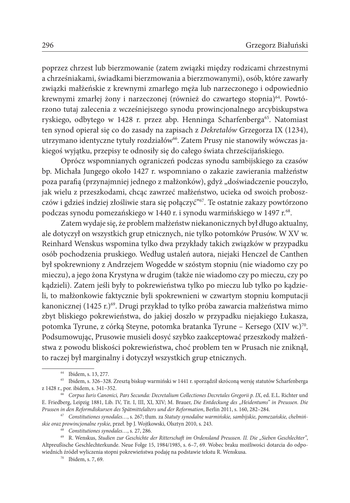poprzez chrzest lub bierzmowanie (zatem związki między rodzicami chrzestnymi a chrześniakami, świadkami bierzmowania a bierzmowanymi), osób, które zawarły związki małżeńskie z krewnymi zmarłego męża lub narzeczonego i odpowiednio krewnymi zmarłej żony i narzeczonej (również do czwartego stopnia)<sup>64</sup>. Powtórzono tutaj zalecenia z wcześniejszego synodu prowincjonalnego arcybiskupstwa ryskiego, odbytego w 1428 r. przez abp. Henninga Scharfenberga<sup>65</sup>. Natomiast ten synod opierał się co do zasady na zapisach z *Dekretałów* Grzegorza IX (1234), utrzymano identyczne tytuły rozdziałów<sup>66</sup>. Zatem Prusy nie stanowiły wówczas jakiegoś wyjątku, przepisy te odnosiły się do całego świata chrześcijańskiego.

Oprócz wspomnianych ograniczeń podczas synodu sambijskiego za czasów bp. Michała Jungego około 1427 r. wspomniano o zakazie zawierania małżeństw poza parafią (przynajmniej jednego z małżonków), gdyż "doświadczenie pouczyło, jak wielu z przeszkodami, chcąc zawrzeć małżeństwo, ucieka od swoich proboszczów i gdzieś indziej złośliwie stara się połączyć"67. Te ostatnie zakazy powtórzono podczas synodu pomezańskiego w 1440 r. i synodu warmińskiego w 1497 r.<sup>68</sup>.

Zatem wydaje się, że problem małżeństw niekanonicznych był długo aktualny, ale dotyczył on wszystkich grup etnicznych, nie tylko potomków Prusów. W XV w. Reinhard Wenskus wspomina tylko dwa przykłady takich związków w przypadku osób pochodzenia pruskiego. Według ustaleń autora, niejaki Henczel de Canthen był spokrewniony z Andrzejem Wogedde w szóstym stopniu (nie wiadomo czy po mieczu), a jego żona Krystyna w drugim (także nie wiadomo czy po mieczu, czy po kądzieli). Zatem jeśli były to pokrewieństwa tylko po mieczu lub tylko po kądzieli, to małżonkowie faktycznie byli spokrewnieni w czwartym stopniu komputacji kanonicznej (1425 r.)<sup>69</sup>. Drugi przykład to tylko próba zawarcia małżeństwa mimo zbyt bliskiego pokrewieństwa, do jakiej doszło w przypadku niejakiego Łukasza, potomka Tyrune, z córką Steyne, potomka bratanka Tyrune – Kersego (XIV w.)70. Podsumowując, Prusowie musieli dosyć szybko zaakceptować przeszkody małżeństwa z powodu bliskości pokrewieństwa, choć problem ten w Prusach nie zniknął, to raczej był marginalny i dotyczył wszystkich grup etnicznych.

<sup>64</sup> Ibidem, s. 13, 277.

<sup>65</sup> Ibidem, s. 326–328. Zresztą biskup warmiński w 1441 r. sporządził skróconą wersję statutów Scharfenberga z 1428 r., por. ibidem, s. 341–352.

<sup>66</sup> *Corpus Iuris Canonici, Pars Secunda: Decretalium Collectiones Decretales Gregorii p. IX*, ed. E.L. Richter und E. Friedberg, Leipzig 1881, Lib. IV, Tit. I, III, XI, XIV; M. Brauer, *Die Entdeckung des "Heidentums" in Preussen. Die* 

 $67$  Constitutiones synodales..., s. 267; tłum. za Statuty synodalne warmińskie, sambijskie, pomezańskie, chełmiń*skie oraz prowincjonalne ryskie*, przeł. bp J. Wojtkowski, Olsztyn 2010, s. 243.

<sup>68</sup> *Constitutiones synodales…*, s. 27, 286.

<sup>69</sup> R. Wenskus, *Studien zur Geschichte der Ritterschaft im Ordensland Preussen. II. Die "Sieben Geschlechter"*, Altpreußische Geschlechterkunde. Neue Folge 15, 1984/1985, s. 6–7, 69. Wobec braku możliwości dotarcia do odpowiednich źródeł wyliczenia stopni pokrewieństwa podaję na podstawie tekstu R. Wenskusa.

<sup>70</sup> Ibidem, s. 7, 69.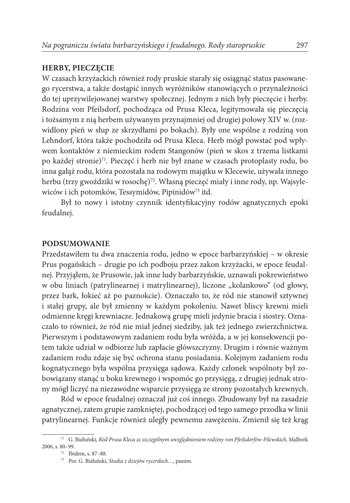# **HERBY, PIECZĘCIE**

W czasach krzyżackich również rody pruskie starały się osiągnąć status pasowanego rycerstwa, a także dostąpić innych wyróżników stanowiących o przynależności do tej uprzywilejowanej warstwy społecznej. Jednym z nich były pieczęcie i herby. Rodzina von Pfeilsdorf, pochodząca od Prusa Kleca, legitymowała się pieczęcią i tożsamym z nią herbem używanym przynajmniej od drugiej połowy XIV w. (rozwidlony pień w słup ze skrzydłami po bokach). Były one wspólne z rodziną von Lehndorf, która także pochodziła od Prusa Kleca. Herb mógł powstać pod wpływem kontaktów z niemieckim rodem Stangonów (pień w skos z trzema listkami po każdej stronie)<sup>71</sup>. Pieczęć i herb nie był znane w czasach protoplasty rodu, bo inna gałąź rodu, która pozostała na rodowym majątku w Klecewie, używała innego herbu (trzy gwoździki w rosochę)<sup>72</sup>. Własną pieczęć miały i inne rody, np. Wajsylewiców i ich potomków, Tessymidów, Pipinidów73 itd.

Był to nowy i istotny czynnik identyfikacyjny rodów agnatycznych epoki feudalnej.

## **PODSUMOWANIE**

Przedstawiłem tu dwa znaczenia rodu, jedno w epoce barbarzyńskiej – w okresie Prus pogańskich – drugie po ich podboju przez zakon krzyżacki, w epoce feudalnej. Przyjąłem, że Prusowie, jak inne ludy barbarzyńskie, uznawali pokrewieństwo w obu liniach (patrylinearnej i matrylinearnej), liczone "kolankowo" (od głowy, przez bark, łokieć aż po paznokcie). Oznaczało to, że ród nie stanowił sztywnej i stałej grupy, ale był zmienny w każdym pokoleniu. Nawet bliscy krewni mieli odmienne kręgi krewniacze. Jednakową grupę mieli jedynie bracia i siostry. Oznaczało to również, że ród nie miał jednej siedziby, jak też jednego zwierzchnictwa. Pierwszym i podstawowym zadaniem rodu była wróżda, a w jej konsekwencji potem także udział w odbiorze lub zapłacie główszczyzny. Drugim i równie ważnym zadaniem rodu zdaje się być ochrona stanu posiadania. Kolejnym zadaniem rodu kognatycznego była wspólna przysięga sądowa. Każdy członek wspólnoty był zobowiązany stanąć u boku krewnego i wspomóc go przysięgą, z drugiej jednak strony mógł liczyć na niezawodne wsparcie przysięgą ze strony pozostałych krewnych.

Ród w epoce feudalnej oznaczał już coś innego. Zbudowany był na zasadzie agnatycznej, zatem grupie zamkniętej, pochodzącej od tego samego przodka w linii patrylinearnej. Funkcje również uległy pewnemu zawężeniu. Zmienił się też krąg

<sup>71</sup> G. Białuński, *Ród Prusa Kleca ze szczególnym uwzględnieniem rodziny von Pfeilsdorfów-Pilewskich*, Malbork 2006, s. 80–99.

<sup>72</sup> Ibidem, s. 87–88.

<sup>73</sup> Por. G. Białuński, *Studia z dziejów rycerskich…*, passim.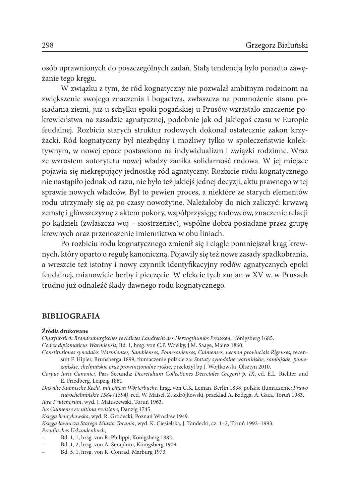osób uprawnionych do poszczególnych zadań. Stałą tendencją było ponadto zawężanie tego kręgu.

W związku z tym, że ród kognatyczny nie pozwalał ambitnym rodzinom na zwiększenie swojego znaczenia i bogactwa, zwłaszcza na pomnożenie stanu posiadania ziemi, już u schyłku epoki pogańskiej u Prusów wzrastało znaczenie pokrewieństwa na zasadzie agnatycznej, podobnie jak od jakiegoś czasu w Europie feudalnej. Rozbicia starych struktur rodowych dokonał ostatecznie zakon krzyżacki. Ród kognatyczny był niezbędny i możliwy tylko w społeczeństwie kolektywnym, w nowej epoce postawiono na indywidualizm i związki rodzinne. Wraz ze wzrostem autorytetu nowej władzy zanika solidarność rodowa. W jej miejsce pojawia się niekrępujący jednostkę ród agnatyczny. Rozbicie rodu kognatycznego nie nastąpiło jednak od razu, nie było też jakiejś jednej decyzji, aktu prawnego w tej sprawie nowych władców. Był to pewien proces, a niektóre ze starych elementów rodu utrzymały się aż po czasy nowożytne. Należałoby do nich zaliczyć: krwawą zemstę i główszczyznę z aktem pokory, współprzysięgę rodowców, znaczenie relacji po kądzieli (zwłaszcza wuj – siostrzeniec), wspólne dobra posiadane przez grupę krewnych oraz przenoszenie imiennictwa w obu liniach.

Po rozbiciu rodu kognatycznego zmienił się i ciągle pomniejszał krąg krewnych, który oparto o regułę kanoniczną. Pojawiły się też nowe zasady spadkobrania, a wreszcie też istotny i nowy czynnik identyfikacyjny rodów agnatycznych epoki feudalnej, mianowicie herby i pieczęcie. W efekcie tych zmian w XV w. w Prusach trudno już odnaleźć ślady dawnego rodu kognatycznego.

#### **BIBLIOGRAFIA**

#### **Źródła drukowane**

*Churfürstlich Brandenburgisches revidirtes Landrecht des Herzogthumbs Preussen*, Königsberg 1685. *Codex diplomaticus Warmiensis*, Bd. 1, hrsg. von C.P. Woelky, J.M. Saage, Mainz 1860.

*Constitutiones synodales Warmienses, Sambienses, Pomesanienses, Culmenses, necnon provincials Rigenses*, recensuit F. Hipler, Brunsberga 1899, tłumaczenie polskie za: *Statuty synodalne warmińskie, sambijskie, pomezańskie, chełmińskie oraz prowincjonalne ryskie*, przełożył bp J. Wojtkowski, Olsztyn 2010.

*Corpus Iuris Canonici*, Pars Secunda: *Decretalium Collectiones Decretales Gregorii p. IX*, ed. E.L. Richter und E. Friedberg, Leipzig 1881.

*Das alte Kulmische Recht*, *mit einem Wörterbuche*, hrsg. von C.K. Leman, Berlin 1838, polskie tłumaczenie: *Prawo starochełmińskie 1584 (1394)*, red. W. Maisel, Z. Zdrójkowski, przekład A. Bzdęga, A. Gaca, Toruń 1983.

*Iura Prutenorum*, wyd. J. Matuszewski, Toruń 1963.

*Ius Culmense ex ultima revisione*, Danzig 1745.

*Księga henrykowska*, wyd. R. Grodecki, Poznań Wrocław 1949.

*Księga ławnicza Starego Miasta Torunia*, wyd. K. Ciesielska, J. Tandecki, cz. 1–2, Toruń 1992–1993. *Preuβisches Urkundenbuch*,

- Bd. 1, 1, hrsg. von R. Philippi, Königsberg 1882.
- *–* Bd. 1, 2, hrsg. von A. Seraphim, Königsberg 1909.
- *–* Bd. 5, 1, hrsg. von K. Conrad, Marburg 1973.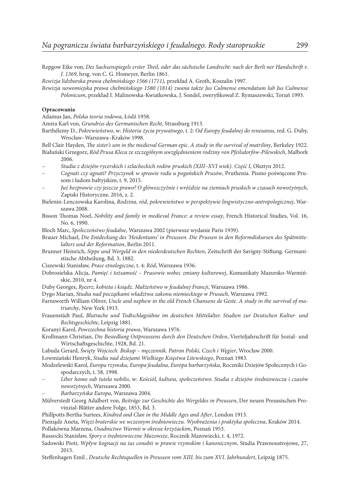Repgow Eike von, *Des Sachsenspiegels erster Theil, oder das sächsische Landrecht: nach der Berli ner Handschrift v. J. 1369*, hrsg. von C. G. Homeyer, Berlin 1861.

*Rewizja lidzbarska prawa chełmińskiego 1566 (1711),* przekład A. Groth, Koszalin 1997.

*Rewizja nowomiejska prawa chełmińskiego 1580 (1814) zwana także Jus Culmense emendatum lub Jus Culmense Polonicum*, przekład I. Malinowska-Kwiatkowska, J. Sondel, zweryfikował Z. Rymaszewski, Toruń 1993.

#### **Opracowania**

Adamus Jan, *Polska teoria rodowa*, Łódź 1958.

Amira Karl von, *Grundriss des Germanischen Recht*, Strassburg 1913.

Barthélemy D., *Pokrewieństwo*, w: *Historia życia prywatnego*, t. 2: *Od Europy feudalnej do renesansu*, red. G. Duby, Wrocław–Warszawa–Kraków 1998.

Bell Clair Hayden, *The sister's son in the medieval German epic. A study in the survival of matriliny*, Berkeley 1922. Białuński Grzegorz, *Ród Prusa Kleca ze szczególnym uwzględnieniem rodziny von Pfeilsdorfów-Pilewskich*, Malbork 2006.

*– Studia z dziejów rycerskich i szlacheckich rodów pruskich (XIII–XVI wiek). Część I*, Olsztyn 2012.

- *Cognati czy agnati? Przyczynek w sprawie rodu u pogańskich Prusów*, Pruthenia. Pismo poświęcone Prusom i ludom bałtyjskim, t. 9, 2015.
- *– Już bezprawie czy jeszcze prawo? O główszczyźnie i wróżdzie na ziemiach pruskich w czasach nowożytnych*, Zapiski Historyczne, 2016, z. 2.

Bielenin-Lenczowska Karolina, *Rodzina, ród, pokrewieństwo w perspektywie lingwistyczno-antropologicznej*, Warszawa 2008.

- Bisson Thomas Noel, *Nobility and family in medieval France: a review essay*, French Historical Studies, Vol. 16, No. 6, 1990.
- Bloch Marc, *Społeczeństwo feudalne*, Warszawa 2002 (pierwsze wydanie Paris 1939).

Brauer Michael, *Die Entdeckung des 'Heidentums' in Preussen. Die Prussen in den Reformdiskursen des Spätmittelalters und der Reformation*, Berlin 2011.

Brunner Heinrich, *Sippe und Wergeld in den niederdeutschen Rechten*, Zeitschrift der Savigny-Stiftung. Germanistische Abtheilung, Bd. 3, 1882.

Ciszewski Stanisław, *Prace etnologiczne*, t. 4: *Ród*, Warszawa 1936.

- Dobrosielska Alicja, *Pamięć i tożsamość Prusowie wobec zmiany kulturowej*, Komunikaty Mazursko-Warmińskie, 2010, nr 4.
- Duby Georges, *Rycerz, kobieta i ksiądz. Małżeństwo w feudalnej Francji*, Warszawa 1986.

Dygo Marian, *Studia nad początkami władztwa zakonu niemieckiego w Prusach*, Warszawa 1992.

- Farnsworth William Oliver, *Uncle and nephew in the old French Chansons de Geste. A study in the survival of matriarchy*, New York 1913.
- Frauenstädt Paul, *Blutrache und Todtschlagsühne im deutschen Mittelalter. Studien zur Deutschen Kultur- und Rechtsgeschichte*, Leipzig 1881.

Koranyi Karol, *Powszechna historia prawa*, Warszawa 1976.

Krollmann Christian, *Die Besiedlung Ostpreussens durch den Deutschen Orden*, Vierteljahrschrift für Sozial- und Wirtschaftsgeschichte, 1928, Bd. 21.

Labuda Gerard, *Święty Wojciech. Biskup – męczennik. Patron Polski, Czech i Węgier*, Wrocław 2000.

Łowmiański Henryk, *Studia nad dziejami Wielkiego Księstwa Litewskiego*, Poznań 1983.

Modzelewski Karol, *Europa rzymska, Europa feudalna, Europa barbarzyńska*, Roczniki Dziejów Społecznych i Gospodarczych, t. 58, 1998.

- *Liber homo sub tutela nobilis*, w: *Kościół, kultura, społeczeństwo. Studia z dziejów średniowiecza i czasów nowożytnych*, Warszawa 2000.
- *Barbarzyńska Europa*, Warszawa 2004.

Mülverstedt Georg Adalbert von, *Beiträge zur Geschichte des Wergeldes in Preussen*, Der neuen Preussischen Provinzial-Blätter andere Folge, 1853, Bd. 3.

Phillpotts Bertha Surtees, *Kindred and Clan in the Middle Ages and After*, London 1913.

Pieniądz Aneta, *Więzi braterskie we wczesnym średniowieczu. Wyobrażenia i praktyka społeczna*, Kraków 2014. Pollakówna Marzena, *Osadnictwo Warmii w okresie krzyżackim*, Poznań 1953.

Russocki Stanisław, *Spory o średniowieczne Mazowsze*, Rocznik Mazowiecki, t. 4, 1972.

Sadowski Piotr, *Wpływ kognacji na ius conubii w prawie rzymskim i kanonicznym*, Studia Prawnoustrojowe, 27, 2015.

Steffenhagen Emil , *Deutsche Rechtsquellen in Preussen vom XIII. bis zum XVI. Jahrhundert*, Leipzig 1875.